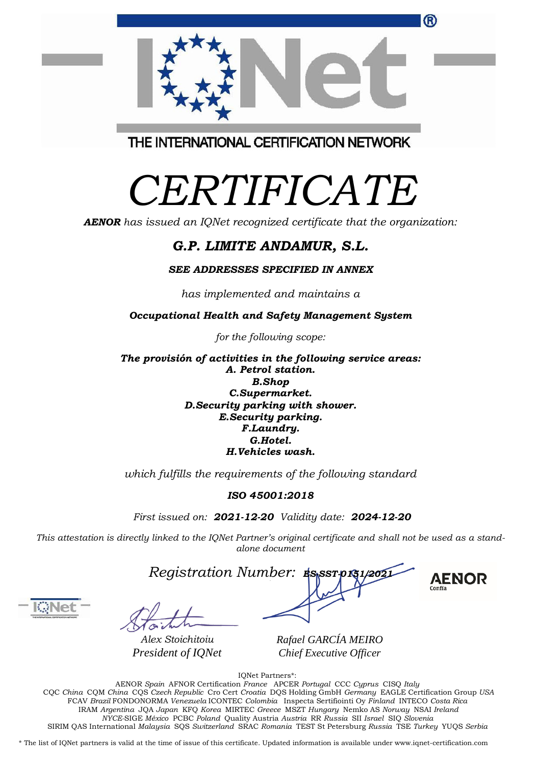| FCAV Brazil FONDONORMA Venezuela ICONTEC Colombia Inspecta Sertifiointi Oy Finland INTECO Costa Rica                                               |
|----------------------------------------------------------------------------------------------------------------------------------------------------|
| IRAM Argentina JOA Japan KFO Korea MIRTEC Greece MSZT Hungary Nemko AS Norway NSAI Ireland                                                         |
| NYCE-SIGE México PCBC Poland Quality Austria Austria RR Russia SII Israel SIO Slovenia                                                             |
| SIRIM OAS International Malaysia SOS Switzerland SRAC Romania TEST St Petersburg Russia TSE Turkey YUOS Serbia                                     |
|                                                                                                                                                    |
| * The list of IONet partners is valid at the time of issue of this certificate. Updated information is available under www.ignet-certification.com |
|                                                                                                                                                    |



THE INTERNATIONAL CERTIFICATION NETWORK

## *CERTIFICATE*

*AENOR has issued an IQNet recognized certificate that the organization:*

## *G.P. LIMITE ANDAMUR, S.L.*

## *SEE ADDRESSES SPECIFIED IN ANNEX*

*has implemented and maintains a*

*Occupational Health and Safety Management System*

*for the following scope:*

*The provisión of activities in the following service areas: A. Petrol station. B.Shop C.Supermarket. D.Security parking with shower. E.Security parking. F.Laundry. G.Hotel. H.Vehicles wash.*

*which fulfills the requirements of the following standard*

## *ISO 45001:2018*

*First issued on: 2021-12-20 Validity date: 2024-12-20*

This attestation is directly linked to the IQNet Partner's original certificate and shall not be used as a stand*alone document*

*Registration Number: ES-SST-0151/2021*



*Alex Stoichitoiu President of IQNet*

*Rafael GARCÍA MEIRO Chief Executive Officer*

IQNet Partners\*: AENOR *Spain* AFNOR Certification *France* APCER *Portugal* CCC *Cyprus* CISQ *Italy* CQC *China* CQM *China* CQS *Czech Republic* Cro Cert *Croatia* DQS Holding GmbH *Germany* EAGLE Certification Group *USA*

**AENOR**